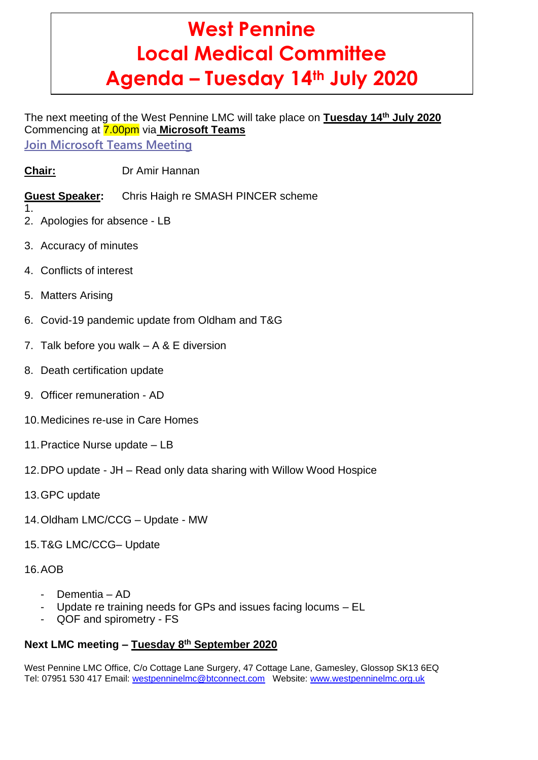# **West Pennine Local Medical Committee Agenda – Tuesday 14th July 2020**

# The next meeting of the West Pennine LMC will take place on **Tuesday 14th July 2020** Commencing at 7.00pm via **Microsoft Teams**

**Join [Microsoft](https://teams.microsoft.com/l/meetup-join/19%3ameeting_OGFiMDIwNGItZWVkZi00OWE1LWI5NWUtZTViZmJjMTk1ZDRj%40thread.v2/0?context=%7b%22Tid%22%3a%229a12677e-c2e9-4deb-a58a-ee1c59ac0161%22%2c%22Oid%22%3a%227e8879f0-b747-45e5-a94b-d2e70c38ba7b%22%7d) Teams Meeting**

**Chair:** Dr Amir Hannan

**Guest Speaker:** Chris Haigh re SMASH PINCER scheme

1.

2. Apologies for absence - LB

- 3. Accuracy of minutes
- 4. Conflicts of interest
- 5. Matters Arising
- 6. Covid-19 pandemic update from Oldham and T&G
- 7. Talk before you walk A & E diversion
- 8. Death certification update
- 9. Officer remuneration AD
- 10.Medicines re-use in Care Homes
- 11.Practice Nurse update LB
- 12.DPO update JH Read only data sharing with Willow Wood Hospice
- 13.GPC update
- 14.Oldham LMC/CCG Update MW
- 15.T&G LMC/CCG– Update

16.AOB

- Dementia AD
- Update re training needs for GPs and issues facing locums EL
- QOF and spirometry FS

# **Next LMC meeting – Tuesday 8 th September 2020**

West Pennine LMC Office, C/o Cottage Lane Surgery, 47 Cottage Lane, Gamesley, Glossop SK13 6EQ Tel: 07951 530 417 Email: [westpenninelmc@btconnect.com](mailto:westpenninelmc@btconnect.com) Website: [www.westpenninelmc.org.uk](http://www.westpenninelmc.org.uk/)